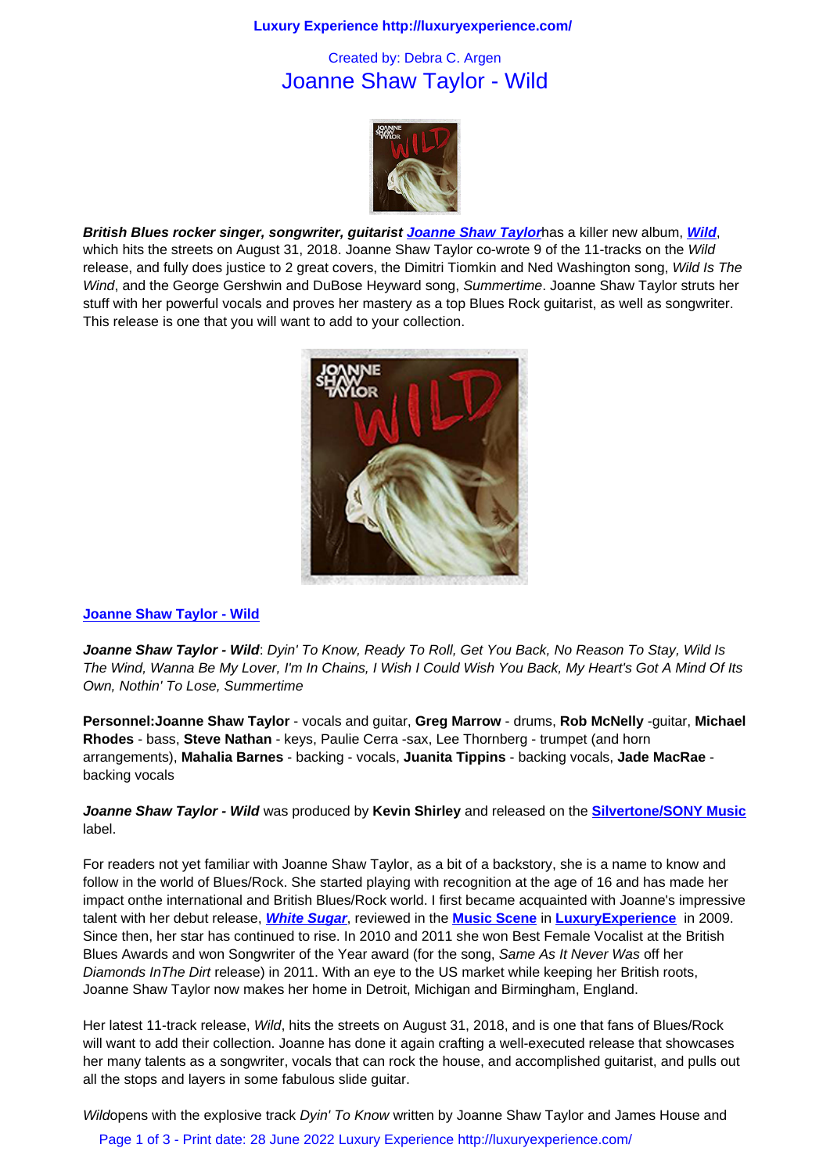## Joanne Shaw Taylor - Wild



**British Blues rocker singer, songwriter, guitarist Joanne Shaw Taylor**has a killer new album, **Wild**, which hits the streets on August 31, 2018. Joanne Shaw Taylor co-wrote 9 of the 11-tracks on the Wild release, and fully does justice to 2 great covers, the Dimitri Tiomkin and Ned Washington song, Wild Is The Wind, and the George Gershwin and DuBose Heyward song, Summertime. Joanne Shaw Taylor struts her stuff with her powerful vocals and proves her master[y as a top Blues Rock](https://www.joanneshawtaylor.com/) guitarist, as well as so[ngwrit](https://www.joanneshawtaylor.com/)er. This release is one that you will want to add to your collection.



## **Joanne Shaw Taylor - Wild**

**Joanne Shaw Taylor - Wild**: Dyin' [To Know, Ready To Roll, Get You Ba](https://www.joanneshawtaylor.com/)ck, No Reason To Stay, Wild Is The Wind, Wanna Be My Lover, I'm In Chains, I Wish I Could Wish You Back, My Heart's Got A Mind Of Its [Own, Nothin' To Lose, Summ](https://www.joanneshawtaylor.com/)ertime

**Personnel:Joanne Shaw Taylor** - vocals and guitar, **Greg Marrow** - drums, **Rob McNelly** -guitar, **Michael Rhodes** - bass, **Steve Nathan** - keys, Paulie Cerra -sax, Lee Thornberg - trumpet (and horn arrangements), **Mahalia Barnes** - backing - vocals, **Juanita Tippins** - backing vocals, **Jade MacRae** backing vocals

**Joanne Shaw Taylor - Wild** was produced by **Kevin Shirley** and released on the **Silvertone/SONY Music** label.

For readers not yet familiar with Joanne Shaw Taylor, as a bit of a backstory, she is a name to know and follow in the world of Blues/Rock. She started playing with recognition at the age o[f 16 and has made her](http://www.sonymusic.co.uk/artists) impact onthe international and British Blues/Rock world. I first became acquainted with Joanne's impressive talent with her debut release, **White Sugar**, reviewed in the **Music Scene** in **LuxuryExperience** in 2009. Since then, her star has continued to rise. In 2010 and 2011 she won Best Female Vocalist at the British Blues Awards and won Songwriter of the Year award (for the song, Same As It Never Was off her Diamonds InThe Dirt release) in 2011. With an eye to the US market while keeping her British roots, Joanne Shaw Taylor now ma[kes her home](music_scene/music_artists/joanne_shaw_taylor_-_white_sugar.html) in Detroit, Michi[gan and Birmin](music_scene.html)g[ham, England.](http://www.luxuryexperience.com)

Her latest 11-track release, Wild, hits the streets on August 31, 2018, and is one that fans of Blues/Rock will want to add their collection. Joanne has done it again crafting a well-executed release that showcases her many talents as a songwriter, vocals that can rock the house, and accomplished guitarist, and pulls out all the stops and layers in some fabulous slide guitar.

Wildopens with the explosive track Dyin' To Know written by Joanne Shaw Taylor and James House and

Page 1 of 3 - Print date: 28 June 2022 Luxury Experience http://luxuryexperience.com/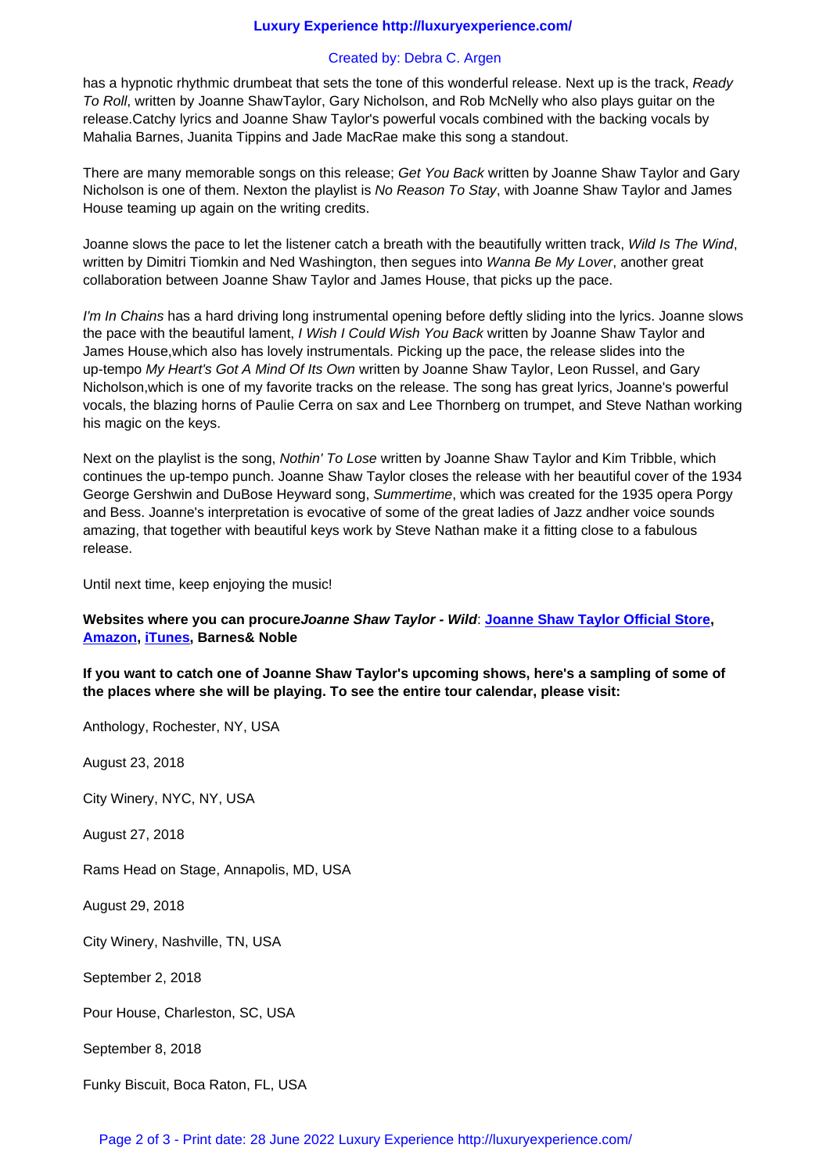has a hypnotic rhythmic drumbeat that sets the tone of this wonderful release. Next up is the track, Ready To Roll, written by Joanne ShawTaylor, Gary Nicholson, and Rob McNelly who also plays guitar on the release.Catchy lyrics and Joanne Shaw Taylor's powerful vocals combined with the backing vocals by Mahalia Barnes, Juanita Tippins and Jade MacRae make this song a standout.

There are many memorable songs on this release; Get You Back written by Joanne Shaw Taylor and Gary Nicholson is one of them. Nexton the playlist is No Reason To Stay, with Joanne Shaw Taylor and James House teaming up again on the writing credits.

Joanne slows the pace to let the listener catch a breath with the beautifully written track, Wild Is The Wind, written by Dimitri Tiomkin and Ned Washington, then segues into Wanna Be My Lover, another great collaboration between Joanne Shaw Taylor and James House, that picks up the pace.

I'm In Chains has a hard driving long instrumental opening before deftly sliding into the lyrics. Joanne slows the pace with the beautiful lament, I Wish I Could Wish You Back written by Joanne Shaw Taylor and James House,which also has lovely instrumentals. Picking up the pace, the release slides into the up-tempo My Heart's Got A Mind Of Its Own written by Joanne Shaw Taylor, Leon Russel, and Gary Nicholson,which is one of my favorite tracks on the release. The song has great lyrics, Joanne's powerful vocals, the blazing horns of Paulie Cerra on sax and Lee Thornberg on trumpet, and Steve Nathan working his magic on the keys.

Next on the playlist is the song, Nothin' To Lose written by Joanne Shaw Taylor and Kim Tribble, which continues the up-tempo punch. Joanne Shaw Taylor closes the release with her beautiful cover of the 1934 George Gershwin and DuBose Heyward song, Summertime, which was created for the 1935 opera Porgy and Bess. Joanne's interpretation is evocative of some of the great ladies of Jazz andher voice sounds amazing, that together with beautiful keys work by Steve Nathan make it a fitting close to a fabulous release.

Until next time, keep enjoying the music!

## **Websites where you can procureJoanne Shaw Taylor - Wild**: **Joanne Shaw Taylor Official Store, Amazon, iTunes, Barnes& Noble**

**If you want to catch one of Joanne Shaw Taylor's upcoming shows, here's a sampling of some of the places where she will be playing. To see the entire tour c[alendar, please visit:](https://www.joanneshawtaylor.com/)** 

Anthology, Rochester, NY, USA

August 23, 2018

City Winery, NYC, NY, USA

August 27, 2018

Rams Head on Stage, Annapolis, MD, USA

August 29, 2018

City Winery, Nashville, TN, USA

September 2, 2018

Pour House, Charleston, SC, USA

September 8, 2018

Funky Biscuit, Boca Raton, FL, USA